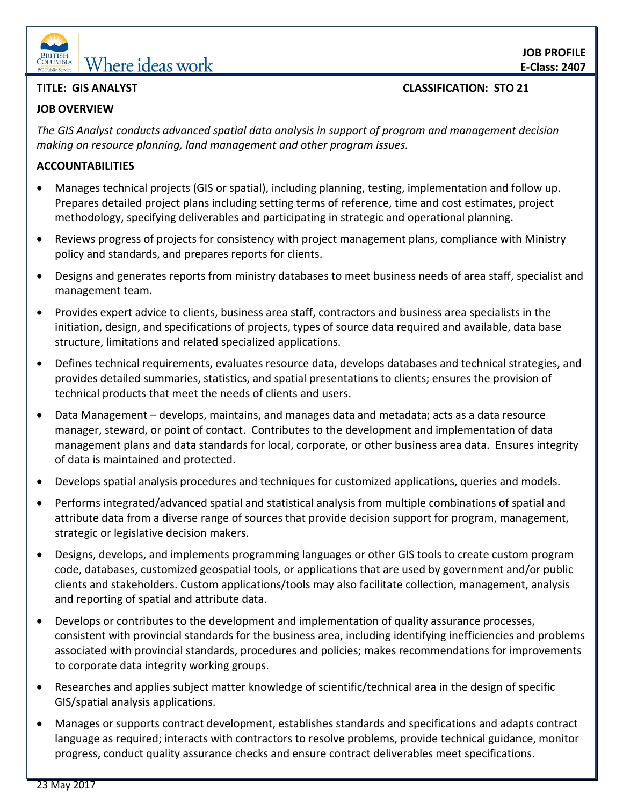

# **EDELLING Where ideas work**

#### **TITLE: GIS ANALYST CLASSIFICATION: STO 21**

#### **JOB OVERVIEW**

*The GIS Analyst conducts advanced spatial data analysis in support of program and management decision making on resource planning, land management and other program issues.* 

#### **ACCOUNTABILITIES**

- Manages technical projects (GIS or spatial), including planning, testing, implementation and follow up. Prepares detailed project plans including setting terms of reference, time and cost estimates, project methodology, specifying deliverables and participating in strategic and operational planning.
- Reviews progress of projects for consistency with project management plans, compliance with Ministry policy and standards, and prepares reports for clients.
- Designs and generates reports from ministry databases to meet business needs of area staff, specialist and management team.
- Provides expert advice to clients, business area staff, contractors and business area specialists in the initiation, design, and specifications of projects, types of source data required and available, data base structure, limitations and related specialized applications.
- Defines technical requirements, evaluates resource data, develops databases and technical strategies, and provides detailed summaries, statistics, and spatial presentations to clients; ensures the provision of technical products that meet the needs of clients and users.
- Data Management develops, maintains, and manages data and metadata; acts as a data resource manager, steward, or point of contact. Contributes to the development and implementation of data management plans and data standards for local, corporate, or other business area data. Ensures integrity of data is maintained and protected.
- Develops spatial analysis procedures and techniques for customized applications, queries and models.
- Performs integrated/advanced spatial and statistical analysis from multiple combinations of spatial and attribute data from a diverse range of sources that provide decision support for program, management, strategic or legislative decision makers.
- Designs, develops, and implements programming languages or other GIS tools to create custom program code, databases, customized geospatial tools, or applications that are used by government and/or public clients and stakeholders. Custom applications/tools may also facilitate collection, management, analysis and reporting of spatial and attribute data.
- Develops or contributes to the development and implementation of quality assurance processes, consistent with provincial standards for the business area, including identifying inefficiencies and problems associated with provincial standards, procedures and policies; makes recommendations for improvements to corporate data integrity working groups.
- Researches and applies subject matter knowledge of scientific/technical area in the design of specific GIS/spatial analysis applications.
- Manages or supports contract development, establishes standards and specifications and adapts contract language as required; interacts with contractors to resolve problems, provide technical guidance, monitor progress, conduct quality assurance checks and ensure contract deliverables meet specifications.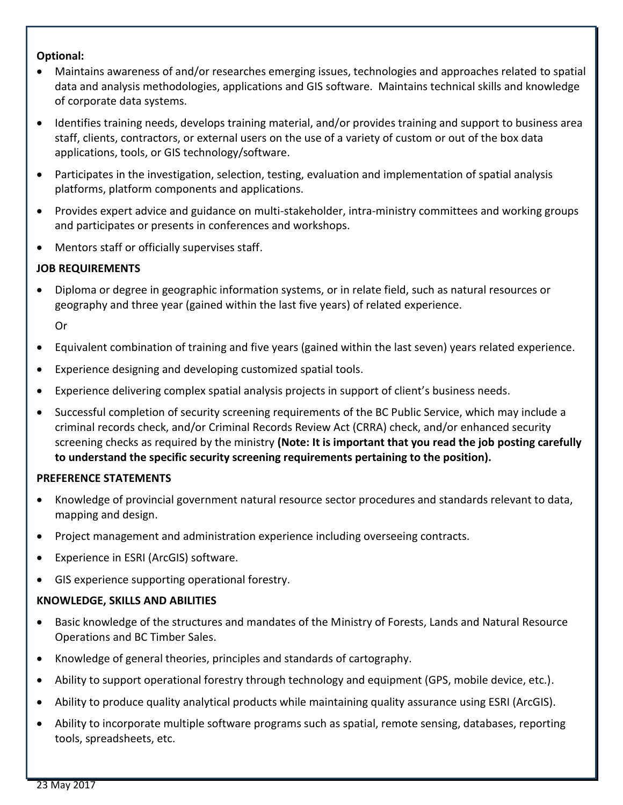#### **Optional:**

- Maintains awareness of and/or researches emerging issues, technologies and approaches related to spatial data and analysis methodologies, applications and GIS software. Maintains technical skills and knowledge of corporate data systems.
- Identifies training needs, develops training material, and/or provides training and support to business area staff, clients, contractors, or external users on the use of a variety of custom or out of the box data applications, tools, or GIS technology/software.
- Participates in the investigation, selection, testing, evaluation and implementation of spatial analysis platforms, platform components and applications.
- Provides expert advice and guidance on multi-stakeholder, intra-ministry committees and working groups and participates or presents in conferences and workshops.
- Mentors staff or officially supervises staff.

## **JOB REQUIREMENTS**

 Diploma or degree in geographic information systems, or in relate field, such as natural resources or geography and three year (gained within the last five years) of related experience.

Or

- Equivalent combination of training and five years (gained within the last seven) years related experience.
- Experience designing and developing customized spatial tools.
- Experience delivering complex spatial analysis projects in support of client's business needs.
- Successful completion of security screening requirements of the BC Public Service, which may include a criminal records check, and/or Criminal Records Review Act (CRRA) check, and/or enhanced security screening checks as required by the ministry **(Note: It is important that you read the job posting carefully to understand the specific security screening requirements pertaining to the position).**

#### **PREFERENCE STATEMENTS**

- Knowledge of provincial government natural resource sector procedures and standards relevant to data, mapping and design.
- Project management and administration experience including overseeing contracts.
- Experience in ESRI (ArcGIS) software.
- GIS experience supporting operational forestry.

#### **KNOWLEDGE, SKILLS AND ABILITIES**

- Basic knowledge of the structures and mandates of the Ministry of Forests, Lands and Natural Resource Operations and BC Timber Sales.
- Knowledge of general theories, principles and standards of cartography.
- Ability to support operational forestry through technology and equipment (GPS, mobile device, etc.).
- Ability to produce quality analytical products while maintaining quality assurance using ESRI (ArcGIS).
- Ability to incorporate multiple software programs such as spatial, remote sensing, databases, reporting tools, spreadsheets, etc.